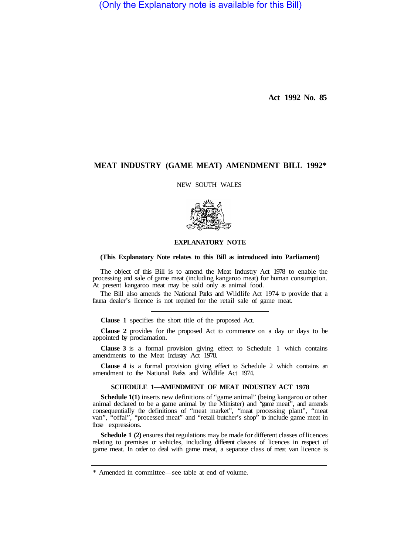(Only the Explanatory note is available for this Bill)

**Act 1992 No. 85** 

## **MEAT INDUSTRY (GAME MEAT) AMENDMENT BILL 1992\***

NEW SOUTH WALES



### **EXPLANATORY NOTE**

#### **(This Explanatory Note relates to this Bill as introduced into Parliament)**

The object of this Bill is to amend the Meat Industry Act 1978 to enable the processing and sale of game meat (including kangaroo meat) for human consumption. At present kangaroo meat may be sold only as animal food.

The Bill also amends the National Parks and Wildlife Act 1974 to provide that a fauna dealer's licence is not required for the retail sale of game meat.

**Clause 1** specifies the short title of the proposed Act.

**Clause 2** provides for the proposed Act to commence on a day or days to be appointed by proclamation.

**Clause 3** is a formal provision giving effect to Schedule 1 which contains amendments to the Meat Industry Act 1978.

**Clause 4** is a formal provision giving effect to Schedule 2 which contains an amendment to the National Parks and Wildlife Act 1974.

#### **SCHEDULE 1—AMENDMENT OF MEAT INDUSTRY ACT 1978**

**Schedule 1(1)** inserts new definitions of "game animal" (being kangaroo or other animal declared to be a game animal by the Minister) and "game meat", and amends consequentially the definitions of "meat market", "meat processing plant", "meat van", "offal", "processed meat" and "retail butcher's shop" to include game meat in those expressions.

**Schedule 1 (2)** ensures that regulations may be made for different classes of licences relating to premises  $\alpha$  vehicles, including different classes of licences in respect of game meat. In order to deal with game meat, a separate class of meat van licence is

<sup>\*</sup> Amended in committee—see table at end of volume.